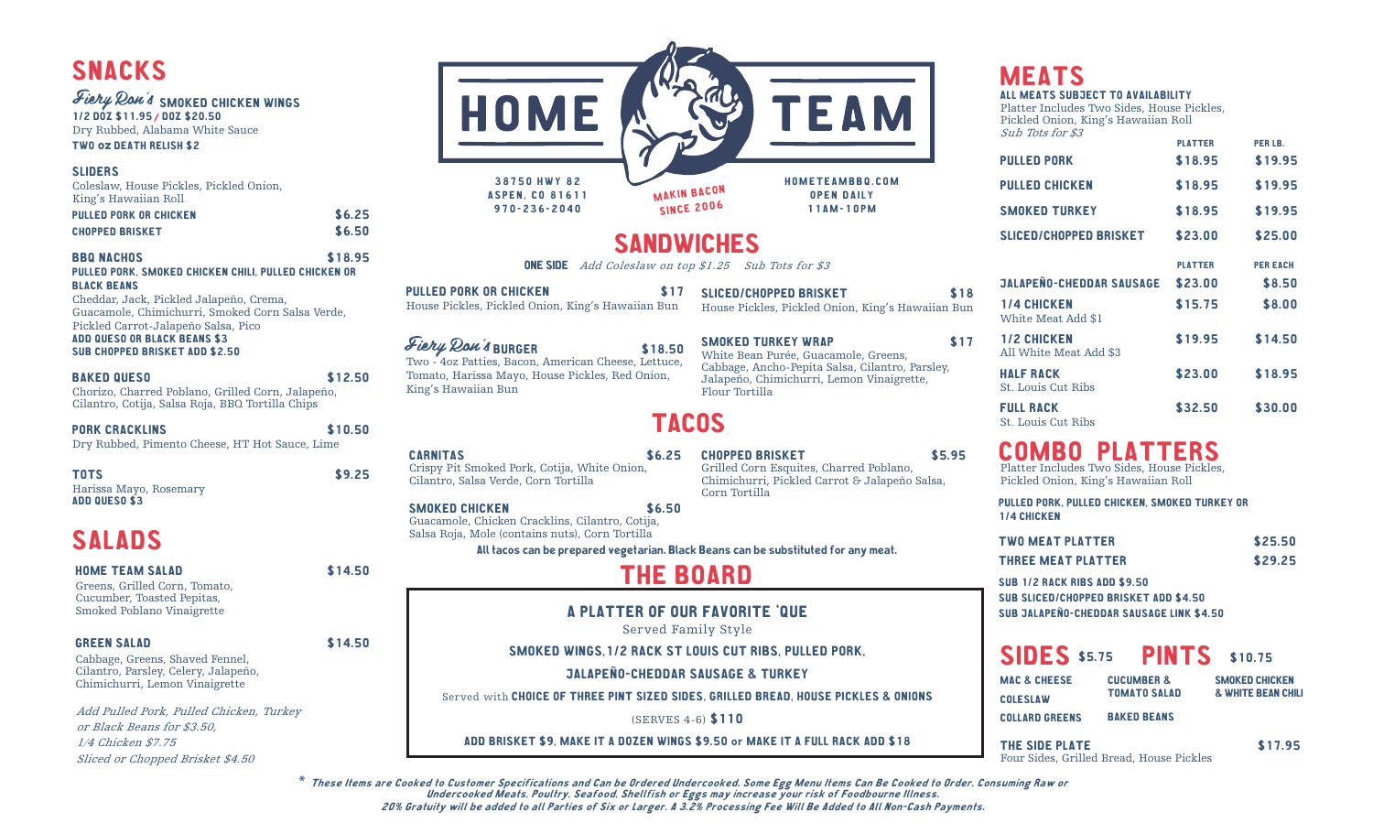## SNACKS

### Fiery Ron's SMOKED CHICKEN WINGS

1/2 DOZ \$11.95 / DOZ \$20.50 Dry Rubbed, Alabama White Sauce TWO oz DEATH RELISH \$2

#### SLIDERS

| Coleslaw, House Pickles, Pickled Onion, |  |
|-----------------------------------------|--|
| King's Hawaiian Roll                    |  |
| - - - - - - -                           |  |

| <b>PULLED PORK OR CHICKEN</b> | \$6.25 |
|-------------------------------|--------|
| <b>CHOPPED BRISKET</b>        | \$6.50 |

#### BBQ NACHOS \$18.95 PULLED PORK, SMOKED CHICKEN CHILI, PULLED CHICKEN OR BLACK BEANS

Cheddar, Jack, Pickled Jalapeño, Crema, Guacamole, Chimichurri, Smoked Corn Salsa Verde, Pickled Carrot-Jalapeño Salsa, Pico ADD QUESO OR BLACK BEANS \$3 SUB CHOPPED BRISKET ADD \$2.50

#### BAKED QUESO \$12.50

Chorizo, Charred Poblano, Grilled Corn, Jalapeño, Cilantro, Cotija, Salsa Roja, BBQ Tortilla Chips

PORK CRACKLINS \$10.50

Dry Rubbed, Pimento Cheese, HT Hot Sauce, Lime

TOTS \$9.25 Harissa Mayo, Rosemary ADD QUESO \$3

### SALADS

#### HOME TEAM SALAD \$14.50

Greens, Grilled Corn, Tomato, Cucumber, Toasted Pepitas, Smoked Poblano Vinaigrette

#### GREEN SALAD \$14.50

Cabbage, Greens, Shaved Fennel, Cilantro, Parsley, Celery, Jalapeño, Chimichurri, Lemon Vinaigrette

Add Pulled Pork, Pulled Chicken, Turkey or Black Beans for \$3.50, 1/4 Chicken \$7.75 Sliced or Chopped Brisket \$4.50



### TACOS

CHOPPED BRISKET \$5.95

Grilled Corn Esquites, Charred Poblano, Chimichurri, Pickled Carrot & Jalapeño Salsa,

CARNITAS \$6.25 Crispy Pit Smoked Pork, Cotija, White Onion, Cilantro, Salsa Verde, Corn Tortilla

#### SMOKED CHICKEN \$6.50 Guacamole, Chicken Cracklins, Cilantro, Cotija, Salsa Roja, Mole (contains nuts), Corn Tortilla

All tacos can be prepared vegetarian. Black Beans can be substituted for any meat.

### THE BOARD

Corn Tortilla

#### A PLATTER OF OUR FAVORITE 'QUE

Served Family Style

#### SMOKED WINGS,1/2 RACK ST LOUIS CUT RIBS, PULLED PORK,

JALAPEÑO-CHEDDAR SAUSAGE & TURKEY

Served with CHOICE OF THREE PINT SIZED SIDES, GRILLED BREAD, HOUSE PICKLES & ONIONS

(SERVES 4-6) \$110

ADD BRISKET \$9, MAKE IT A DOZEN WINGS \$9.50 or MAKE IT A FULL RACK ADD \$18

# **MEATS**

PULLED PORK \$18.95 \$19.95 PULLED CHICKEN \$18.95 \$19.95 SMOKED TURKEY **\$18.95** \$19.95 SLICED/CHOPPED BRISKET \$23.00 \$25.00 JALAPEÑO-CHEDDAR SAUSAGE \$23.00 \$8.50 1/4 CHICKEN \$15.75 \$8.00 White Meat Add \$1 1/2 CHICKEN \$19.95 \$14.50 All White Meat Add \$3 ALL MEATS SUBJECT TO AVAILABILITY Platter Includes Two Sides, House Pickles, Pickled Onion, King's Hawaiian Roll Sub Tots for \$3 PLATTER PER LB. PLATTER PER EACH

#### St. Louis Cut Ribs **FULL RACK \$32.50 \$30.00** St. Louis Cut Ribs

HALF RACK \$23.00 \$18.95

# COMBO PLATTERS Platter Includes Two Sides, House Pickles,

Pickled Onion, King's Hawaiian Roll

|                    |  | PULLED PORK, PULLED CHICKEN, SMOKED TURKEY OR |  |  |
|--------------------|--|-----------------------------------------------|--|--|
| <b>1/4 CHICKEN</b> |  |                                               |  |  |

| TWO MEAT PLATTER | \$25.50 |
|------------------|---------|
|                  |         |

THREE MEAT PLATTER \$29.25

SUB 1/2 RACK RIBS ADD \$9.50 SUB SLICED/CHOPPED BRISKET ADD \$4.50 SUB JALAPEÑO-CHEDDAR SAUSAGE LINK \$4.50

### SIDES \$5.75 **PINTS** \$10.75

| MAC & CHEESE   | <b>CUCUMBER &amp;</b> | <b>SMOKED CHICKEN</b>         |
|----------------|-----------------------|-------------------------------|
| COLESLAW       | <b>TOMATO SALAD</b>   | <b>&amp; WHITE BEAN CHILI</b> |
| COLLARD GREENS | <b>BAKED BEANS</b>    |                               |

THE SIDE PLATE \$17.95 Four Sides, Grilled Bread, House Pickles

\* These Items are Cooked to Customer Specifications and Can be Ordered Undercooked. Some Egg Menu Items Can Be Cooked to Order. Consuming Raw or Undercooked Meats, Poultry, Seafood, Shellfish or Eggs may increase your risk of Foodbourne Illness. 20% Gratuity will be added to all Parties of Six or Larger. A 3.2% Processing Fee Will Be Added to All Non-Cash Payments.